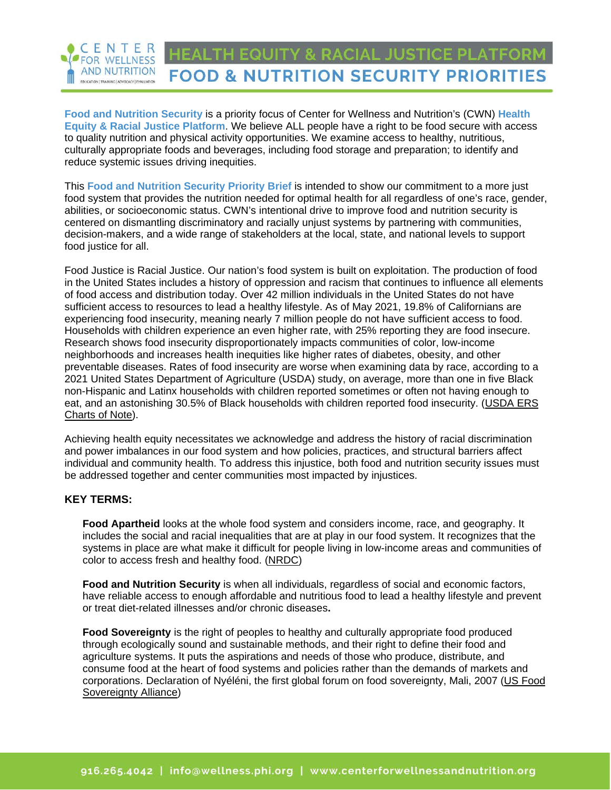#### CENTER **FOR WELLNESS AND NUTRITION FOOD & NUTRITION SECURITY PRIORITIES** EDUCATION | TRAINING | ADVISCACY | EVALUATION

**Food and Nutrition Security** is a priority focus of Center for Wellness and Nutrition's (CWN) **[Health](https://centerforwellnessandnutrition.org/wp-content/uploads/2022/01/CWN-Health-Equity-Platform-4.0_01.21.22.pdf)  [Equity & Racial Justice Platform](https://centerforwellnessandnutrition.org/wp-content/uploads/2022/01/CWN-Health-Equity-Platform-4.0_01.21.22.pdf)**. We believe ALL people have a right to be food secure with access to quality nutrition and physical activity opportunities. We examine access to healthy, nutritious, culturally appropriate foods and beverages, including food storage and preparation; to identify and reduce systemic issues driving inequities.

This **Food and Nutrition Security Priority Brief** is intended to show our commitment to a more just food system that provides the nutrition needed for optimal health for all regardless of one's race, gender, abilities, or socioeconomic status. CWN's intentional drive to improve food and nutrition security is centered on dismantling discriminatory and racially unjust systems by partnering with communities, decision-makers, and a wide range of stakeholders at the local, state, and national levels to support food justice for all.

[Food Justice is Racial Justice.](https://slowfoodusa.org/sfyn-no-food-justice-without-racial-justice/) Our nation's food system is built on exploitation. The production of food in the United States includes a history of oppression and racism that continues to influence all elements of food access and distribution today. Over 42 million individuals in the United States do not have sufficient access to resources to lead a healthy lifestyle. As of May 2021, 19.8% of Californians are experiencing food insecurity, meaning nearly 7 million people do not have sufficient access to food. Households with children experience an even higher rate, with 25% reporting they are food insecure. Research shows food insecurity disproportionately impacts communities of color, low-income neighborhoods and increases health inequities like higher rates of diabetes, obesity, and other preventable diseases. Rates of food insecurity are worse when examining data by race, according to a 2021 United States Department of Agriculture (USDA) study, on average, more than one in five Black non-Hispanic and Latinx households with children reported sometimes or often not having enough to eat, and an astonishing 30.5% of Black households with children reported food insecurity. [\(USDA ERS](https://www.ers.usda.gov/data-products/charts-of-note/charts-of-note/?topicId=c40bd422-99d8-4715-93fa-f1f7674be78b)  [Charts of Note\)](https://www.ers.usda.gov/data-products/charts-of-note/charts-of-note/?topicId=c40bd422-99d8-4715-93fa-f1f7674be78b).

Achieving health equity necessitates we acknowledge and address the history of racial discrimination and power imbalances in our food system and how policies, practices, and structural barriers affect individual and community health. To address this injustice, both food and nutrition security issues must be addressed together and center communities most impacted by injustices.

## **KEY TERMS:**

**[Food Apartheid](https://www.nrdc.org/experts/nina-sevilla/food-apartheid-racialized-access-healthy-affordable-food)** looks at the whole food system and considers income, race, and geography. It includes the social and racial inequalities that are at play in our food system. It recognizes that the systems in place are what make it difficult for people living in low-income areas and communities of color to access fresh and healthy food. [\(NRDC\)](https://www.nrdc.org/experts/nina-sevilla/food-apartheid-racialized-access-healthy-affordable-food)

**Food and Nutrition Security** is when all individuals, regardless of social and economic factors, have reliable access to enough affordable and nutritious food to lead a healthy lifestyle and prevent or treat diet-related illnesses and/or chronic diseases**.** 

**[Food Sovereignty](http://usfoodsovereigntyalliance.org/what-is-food-sovereignty/)** is the right of peoples to healthy and culturally appropriate food produced through ecologically sound and sustainable methods, and their right to define their food and agriculture systems. It puts the aspirations and needs of those who produce, distribute, and consume food at the heart of food systems and policies rather than the demands of markets and corporations. [Declaration of Nyéléni,](https://www.nyeleni.org/spip.php?article290) the first global forum on food sovereignty, Mali, 2007 [\(US Food](http://usfoodsovereigntyalliance.org/what-is-food-sovereignty/)  [Sovereignty Alliance\)](http://usfoodsovereigntyalliance.org/what-is-food-sovereignty/)